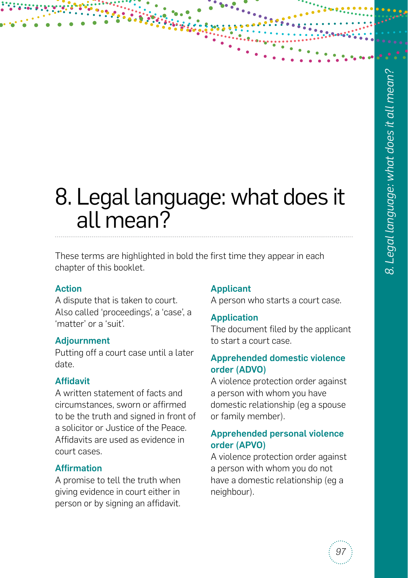# 8. Legal language: what does it all mean?

These terms are highlighted in bold the first time they appear in each chapter of this booklet.

# Action

A dispute that is taken to court. Also called 'proceedings', a 'case', a 'matter' or a 'suit'.

# Adjournment

Putting off a court case until a later date.

# Affidavit

A written statement of facts and circumstances, sworn or affirmed to be the truth and signed in front of a solicitor or Justice of the Peace. Affidavits are used as evidence in court cases.

# Affirmation

A promise to tell the truth when giving evidence in court either in person or by signing an affidavit.

# Applicant

A person who starts a court case.

# Application

The document filed by the applicant to start a court case.

# Apprehended domestic violence order (ADVO)

A violence protection order against a person with whom you have domestic relationship (eg a spouse or family member).

# Apprehended personal violence order (APVO)

A violence protection order against a person with whom you do not have a domestic relationship (eg a neighbour).

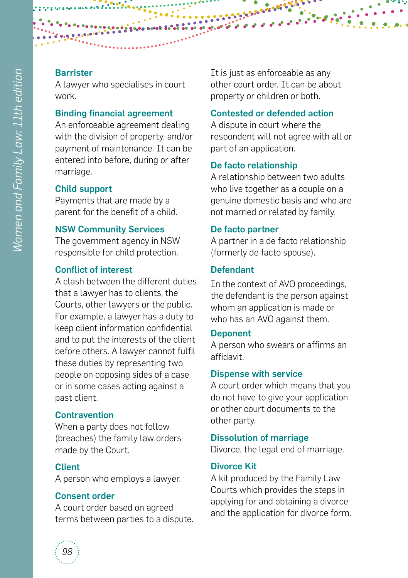A lawyer who specialises in court work.

#### Binding financial agreement

An enforceable agreement dealing with the division of property, and/or payment of maintenance. It can be entered into before, during or after marriage.

#### Child support

Payments that are made by a parent for the benefit of a child.

#### NSW Community Services

The government agency in NSW responsible for child protection.

#### Conflict of interest

A clash between the different duties that a lawyer has to clients, the Courts, other lawyers or the public. For example, a lawyer has a duty to keep client information confidential and to put the interests of the client before others. A lawyer cannot fulfil these duties by representing two people on opposing sides of a case or in some cases acting against a past client.

#### **Contravention**

When a party does not follow (breaches) the family law orders made by the Court.

#### Client

A person who employs a lawyer.

#### Consent order

A court order based on agreed terms between parties to a dispute. It is just as enforceable as any other court order. It can be about property or children or both.

# Contested or defended action

A dispute in court where the respondent will not agree with all or part of an application.

#### De facto relationship

A relationship between two adults who live together as a couple on a genuine domestic basis and who are not married or related by family.

#### De facto partner

A partner in a de facto relationship (formerly de facto spouse).

#### Defendant

In the context of AVO proceedings, the defendant is the person against whom an application is made or who has an AVO against them.

#### **Deponent**

A person who swears or affirms an affidavit.

#### Dispense with service

A court order which means that you do not have to give your application or other court documents to the other party.

#### Dissolution of marriage

Divorce, the legal end of marriage.

#### Divorce Kit

A kit produced by the Family Law Courts which provides the steps in applying for and obtaining a divorce and the application for divorce form.

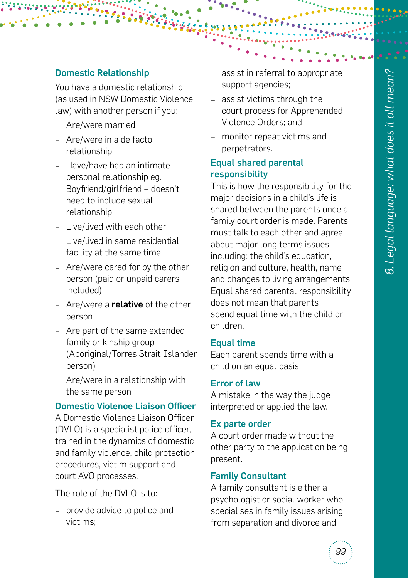## Domestic Relationship

You have a domestic relationship (as used in NSW Domestic Violence law) with another person if you:

- − Are/were married
- − Are/were in a de facto relationship
- − Have/have had an intimate personal relationship eg. Boyfriend/girlfriend – doesn't need to include sexual relationship
- − Live/lived with each other
- − Live/lived in same residential facility at the same time
- − Are/were cared for by the other person (paid or unpaid carers included)
- − Are/were a relative of the other person
- − Are part of the same extended family or kinship group (Aboriginal/Torres Strait Islander person)
- − Are/were in a relationship with the same person

#### Domestic Violence Liaison Officer

A Domestic Violence Liaison Officer (DVLO) is a specialist police officer, trained in the dynamics of domestic and family violence, child protection procedures, victim support and court AVO processes.

The role of the DVLO is to:

− provide advice to police and victims;

- assist in referral to appropriate support agencies;
- − assist victims through the court process for Apprehended Violence Orders; and
- − monitor repeat victims and perpetrators.

# Equal shared parental responsibility

This is how the responsibility for the major decisions in a child's life is shared between the parents once a family court order is made. Parents must talk to each other and agree about major long terms issues including: the child's education, religion and culture, health, name and changes to living arrangements. Equal shared parental responsibility does not mean that parents spend equal time with the child or children.

#### Equal time

Each parent spends time with a child on an equal basis.

#### Error of law

A mistake in the way the judge interpreted or applied the law.

#### Ex parte order

A court order made without the other party to the application being present.

#### Family Consultant

A family consultant is either a psychologist or social worker who specialises in family issues arising from separation and divorce and

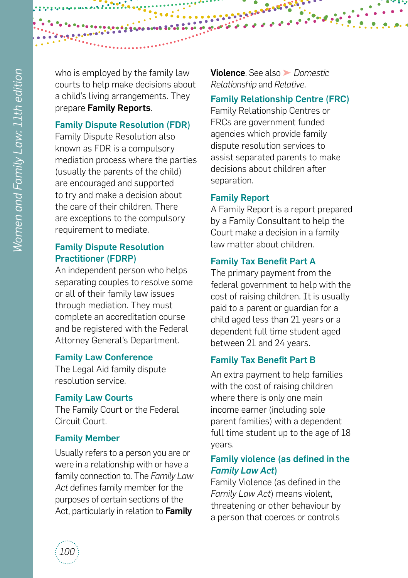who is employed by the family law courts to help make decisions about a child's living arrangements. They prepare Family Reports.

# Family Dispute Resolution (FDR)

Family Dispute Resolution also known as FDR is a compulsory mediation process where the parties (usually the parents of the child) are encouraged and supported to try and make a decision about the care of their children. There are exceptions to the compulsory requirement to mediate.

# Family Dispute Resolution Practitioner (FDRP)

An independent person who helps separating couples to resolve some or all of their family law issues through mediation. They must complete an accreditation course and be registered with the Federal Attorney General's Department.

# Family Law Conference

The Legal Aid family dispute resolution service.

# Family Law Courts

The Family Court or the Federal Circuit Court.

# Family Member

Usually refers to a person you are or were in a relationship with or have a family connection to. The *Family Law Act* defines family member for the purposes of certain sections of the Act, particularly in relation to Family

Violence. See also ➤ *Domestic Relationship* and *Relative*.

# Family Relationship Centre (FRC)

Family Relationship Centres or FRCs are government funded agencies which provide family dispute resolution services to assist separated parents to make decisions about children after separation.

# Family Report

A Family Report is a report prepared by a Family Consultant to help the Court make a decision in a family law matter about children.

# Family Tax Benefit Part A

The primary payment from the federal government to help with the cost of raising children. It is usually paid to a parent or guardian for a child aged less than 21 years or a dependent full time student aged between 21 and 24 years.

# Family Tax Benefit Part B

An extra payment to help families with the cost of raising children where there is only one main income earner (including sole parent families) with a dependent full time student up to the age of 18 years.

# Family violence (as defined in the *Family Law Act*)

Family Violence (as defined in the *Family Law Act*) means violent, threatening or other behaviour by a person that coerces or controls

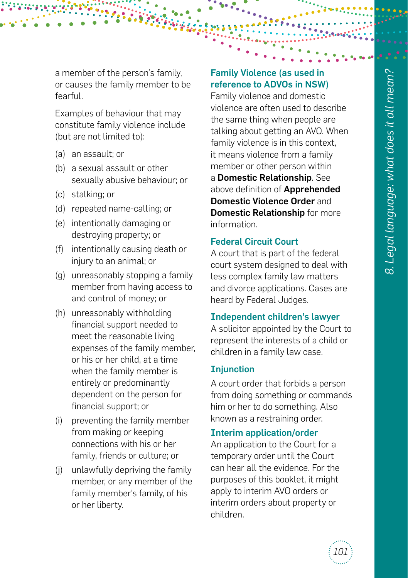a member of the person's family, or causes the family member to be fearful.

Examples of behaviour that may constitute family violence include (but are not limited to):

- (a) an assault; or
- (b) a sexual assault or other sexually abusive behaviour; or
- (c) stalking; or
- (d) repeated name-calling; or
- (e) intentionally damaging or destroying property; or
- (f) intentionally causing death or injury to an animal; or
- (g) unreasonably stopping a family member from having access to and control of money; or
- (h) unreasonably withholding financial support needed to meet the reasonable living expenses of the family member, or his or her child, at a time when the family member is entirely or predominantly dependent on the person for financial support; or
- (i) preventing the family member from making or keeping connections with his or her family, friends or culture; or
- (j) unlawfully depriving the family member, or any member of the family member's family, of his or her liberty.

# Family Violence (as used in reference to ADVOs in NSW)

Family violence and domestic violence are often used to describe the same thing when people are talking about getting an AVO. When family violence is in this context, it means violence from a family member or other person within a Domestic Relationship. See above definition of **Apprehended** Domestic Violence Order and Domestic Relationship for more information.

#### Federal Circuit Court

A court that is part of the federal court system designed to deal with less complex family law matters and divorce applications. Cases are heard by Federal Judges.

#### Independent children's lawyer

A solicitor appointed by the Court to represent the interests of a child or children in a family law case.

#### **Injunction**

A court order that forbids a person from doing something or commands him or her to do something. Also known as a restraining order.

#### Interim application/order

An application to the Court for a temporary order until the Court can hear all the evidence. For the purposes of this booklet, it might apply to interim AVO orders or interim orders about property or children.

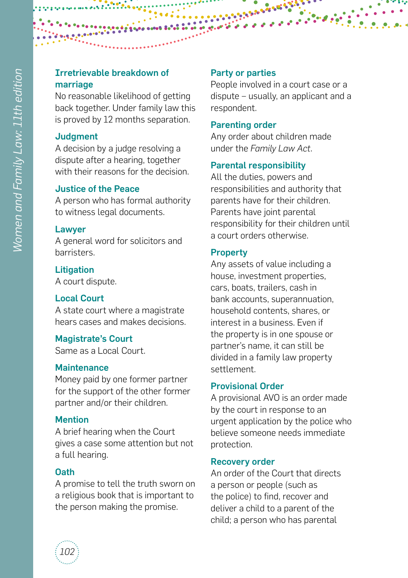# Irretrievable breakdown of marriage

No reasonable likelihood of getting back together. Under family law this is proved by 12 months separation.

# **Judgment**

A decision by a judge resolving a dispute after a hearing, together with their reasons for the decision.

# Justice of the Peace

A person who has formal authority to witness legal documents.

# Lawyer

A general word for solicitors and barristers.

# **Litigation**

A court dispute.

# Local Court

A state court where a magistrate hears cases and makes decisions.

# Magistrate's Court

Same as a Local Court.

# **Maintenance**

Money paid by one former partner for the support of the other former partner and/or their children.

# **Mention**

A brief hearing when the Court gives a case some attention but not a full hearing.

# Oath

A promise to tell the truth sworn on a religious book that is important to the person making the promise.

# Party or parties

People involved in a court case or a dispute – usually, an applicant and a respondent.

# Parenting order

Any order about children made under the *Family Law Act*.

# Parental responsibility

All the duties, powers and responsibilities and authority that parents have for their children. Parents have joint parental responsibility for their children until a court orders otherwise.

# **Property**

Any assets of value including a house, investment properties, cars, boats, trailers, cash in bank accounts, superannuation, household contents, shares, or interest in a business. Even if the property is in one spouse or partner's name, it can still be divided in a family law property settlement.

# Provisional Order

A provisional AVO is an order made by the court in response to an urgent application by the police who believe someone needs immediate protection.

# Recovery order

An order of the Court that directs a person or people (such as the police) to find, recover and deliver a child to a parent of the child; a person who has parental

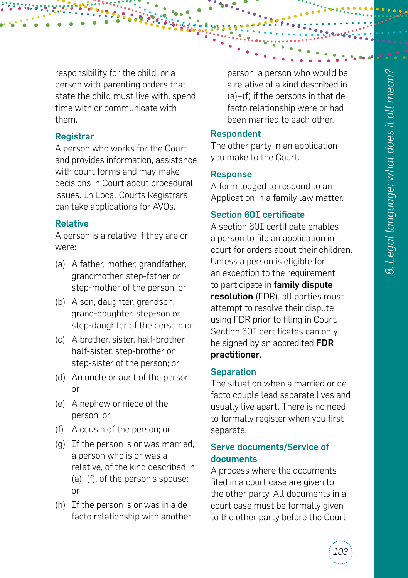responsibility for the child, or a person with parenting orders that state the child must live with, spend time with or communicate with them.

#### Registrar

A person who works for the Court and provides information, assistance with court forms and may make decisions in Court about procedural issues. In Local Courts Registrars can take applications for AVOs.

# Relative

A person is a relative if they are or were:

- (a) A father, mother, grandfather, grandmother, step-father or step-mother of the person; or
- (b) A son, daughter, grandson, grand-daughter, step-son or step-daughter of the person; or
- (c) A brother, sister, half-brother, half-sister, step-brother or step-sister of the person; or
- (d) An uncle or aunt of the person; or
- (e) A nephew or niece of the person; or
- (f) A cousin of the person; or
- (g) If the person is or was married, a person who is or was a relative, of the kind described in (a)–(f), of the person's spouse; or
- (h) If the person is or was in a de facto relationship with another

person, a person who would be a relative of a kind described in (a)–(f) if the persons in that de facto relationship were or had been married to each other.

#### Respondent

The other party in an application you make to the Court.

#### Response

A form lodged to respond to an Application in a family law matter.

# Section 60I certificate

A section 60I certificate enables a person to file an application in court for orders about their children. Unless a person is eligible for an exception to the requirement to participate in family dispute resolution (FDR), all parties must attempt to resolve their dispute using FDR prior to filing in Court. Section 60I certificates can only be signed by an accredited FDR practitioner.

#### **Separation**

The situation when a married or de facto couple lead separate lives and usually live apart. There is no need to formally register when you first separate.

#### Serve documents/Service of documents

A process where the documents filed in a court case are given to the other party. All documents in a court case must be formally given to the other party before the Court

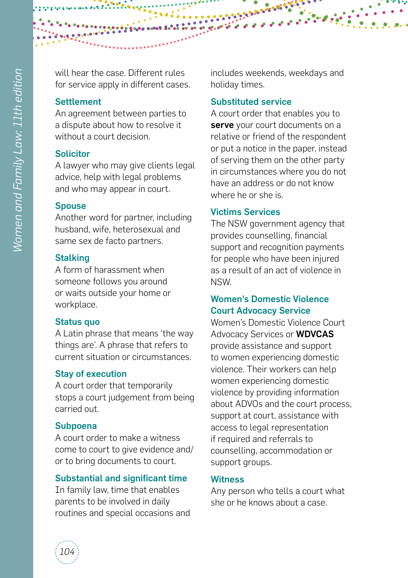will hear the case. Different rules for service apply in different cases.

# **Settlement**

An agreement between parties to a dispute about how to resolve it without a court decision.

# **Solicitor**

A lawyer who may give clients legal advice, help with legal problems and who may appear in court.

# **Spouse**

Another word for partner, including husband, wife, heterosexual and same sex de facto partners.

# **Stalking**

A form of harassment when someone follows you around or waits outside your home or workplace.

# Status quo

A Latin phrase that means 'the way things are'. A phrase that refers to current situation or circumstances.

# Stay of execution

A court order that temporarily stops a court judgement from being carried out.

# Subpoena

A court order to make a witness come to court to give evidence and/ or to bring documents to court.

# Substantial and significant time

In family law, time that enables parents to be involved in daily routines and special occasions and includes weekends, weekdays and holiday times.

# Substituted service

A court order that enables you to serve your court documents on a relative or friend of the respondent or put a notice in the paper, instead of serving them on the other party in circumstances where you do not have an address or do not know where he or she is.

# Victims Services

The NSW government agency that provides counselling, financial support and recognition payments for people who have been injured as a result of an act of violence in NSW.

# Women's Domestic Violence Court Advocacy Service

Women's Domestic Violence Court Advocacy Services or WDVCAS provide assistance and support to women experiencing domestic violence. Their workers can help women experiencing domestic violence by providing information about ADVOs and the court process, support at court, assistance with access to legal representation if required and referrals to counselling, accommodation or support groups.

# **Witness**

Any person who tells a court what she or he knows about a case.

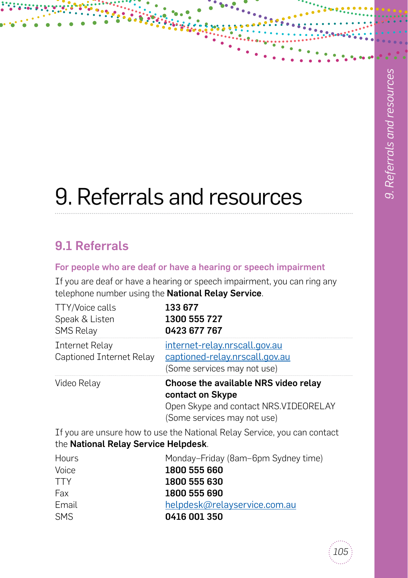# 9. Referrals and resources

# 9.1 Referrals

# For people who are deaf or have a hearing or speech impairment

If you are deaf or have a hearing or speech impairment, you can ring any telephone number using the National Relay Service.

| TTY/Voice calls<br>Speak & Listen<br><b>SMS Relay</b> | 133 677<br>1300 555 727<br>0423 677 767                                                                                           |
|-------------------------------------------------------|-----------------------------------------------------------------------------------------------------------------------------------|
| <b>Internet Relay</b><br>Captioned Internet Relay     | internet-relay.nrscall.gov.au<br>captioned-relay.nrscall.gov.au<br>(Some services may not use)                                    |
| Video Relay                                           | Choose the available NRS video relay<br>contact on Skype<br>Open Skype and contact NRS. VIDEORELAY<br>(Some services may not use) |
| the National Relay Service Helpdesk.                  | If you are unsure how to use the National Relay Service, you can contact                                                          |
| Hours<br>Voice<br><b>TTY</b><br>Fax                   | Monday-Friday (8am-6pm Sydney time)<br>1800 555 660<br>1800 555 630<br>1800 555 690                                               |

Email [helpdesk@relayservice.com.au](mailto:helpdesk%40relayservice.com.au?subject=) SMS **0416 001 350** 

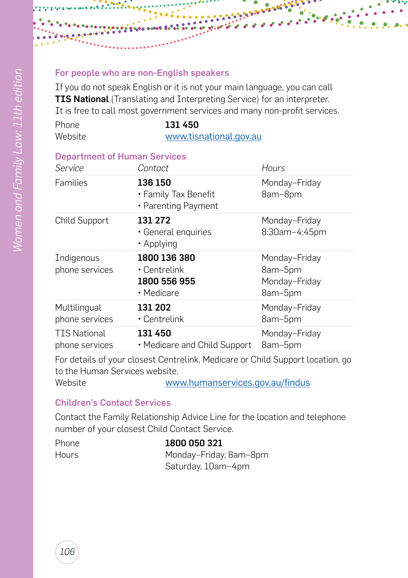## For people who are non-English speakers

If you do not speak English or it is not your main language, you can call **TIS National** (Translating and Interpreting Service) for an interpreter. It is free to call most government services and many non-profit services.

<mark>i, ali</mark>

| Phone   | 131450                 |
|---------|------------------------|
| Website | www.tisnational.gov.au |

#### Department of Human Services

| Service                        | Contact                                                          | Hours                                                |
|--------------------------------|------------------------------------------------------------------|------------------------------------------------------|
| Families                       | 136 150<br>• Family Tax Benefit<br>• Parenting Payment           | Monday-Friday<br>8am-8pm                             |
| <b>Child Support</b>           | 131 272<br>· General enquiries<br>• Applying                     | Monday-Friday<br>8:30am-4:45pm                       |
| Indigenous<br>phone services   | 1800 136 380<br>$\cdot$ Centrelink<br>1800 556 955<br>• Medicare | Monday-Friday<br>8am-5pm<br>Monday-Friday<br>8am-5pm |
| Multilingual<br>phone services | 131 202<br>$\cdot$ Centrelink                                    | Monday-Friday<br>8am-5pm                             |
| TTS National<br>phone services | 131450<br>• Medicare and Child Support                           | Monday-Friday<br>8am-5pm                             |
|                                |                                                                  |                                                      |

For details of your closest Centrelink, Medicare or Child Support location, go to the Human Services website.

Website www.humanservices.gov.au/findus

# Children's Contact Services

Contact the Family Relationship Advice Line for the location and telephone number of your closest Child Contact Service.

| Phone        | 1800 050 321           |
|--------------|------------------------|
| <b>Hours</b> | Monday-Friday, 8am-8pm |
|              | Saturday, 10am-4pm     |

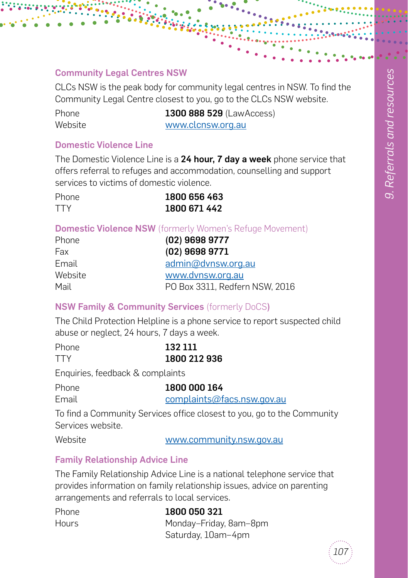## Community Legal Centres NSW

CLCs NSW is the peak body for community legal centres in NSW. To find the Community Legal Centre closest to you, go to the CLCs NSW website.

| Phone   |  |
|---------|--|
| Website |  |

1300 888 529 (LawAccess) www.clcnsw.org.au

#### Domestic Violence Line

The Domestic Violence Line is a 24 hour, 7 day a week phone service that offers referral to refuges and accommodation, counselling and support services to victims of domestic violence.

| <b>Phone</b> | 1800 656 463 |
|--------------|--------------|
| <b>TTY</b>   | 1800 671 442 |

# Domestic Violence NSW (formerly Women's Refuge Movement)

| Phone   | $(02)$ 9698 9777               |
|---------|--------------------------------|
| Fax     | $(02)$ 9698 9771               |
| Email   | admin@dvnsw.org.au             |
| Website | www.dvnsw.org.au               |
| Mail    | PO Box 3311, Redfern NSW, 2016 |

# NSW Family & Community Services (formerly DoCS)

The Child Protection Helpline is a phone service to report suspected child abuse or neglect, 24 hours, 7 days a week.

| <b>Phone</b> | 132 111      |
|--------------|--------------|
| <b>TTY</b>   | 1800 212 936 |

Enquiries, feedback & complaints

| Phone | 1800 000 164               |
|-------|----------------------------|
| Email | complaints@facs.nsw.gov.au |

To find a Community Services office closest to you, go to the Community Services website.

Website www.community.nsw.gov.au

# Family Relationship Advice Line

The Family Relationship Advice Line is a national telephone service that provides information on family relationship issues, advice on parenting arrangements and referrals to local services.

| Phone        | 1800 050 321           |
|--------------|------------------------|
| <b>Hours</b> | Monday-Friday, 8am-8pm |
|              | Saturday, 10am-4pm     |

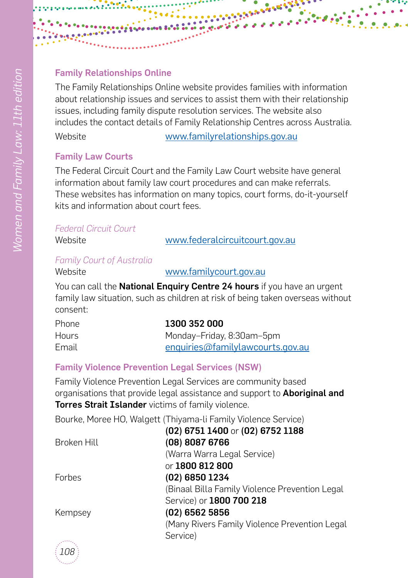# Family Relationships Online

The Family Relationships Online website provides families with information about relationship issues and services to assist them with their relationship issues, including family dispute resolution services. The website also includes the contact details of Family Relationship Centres across Australia.

Website [www.familyrelationships.gov.au](http://www.familyrelationships.gov.au)

# Family Law Courts

The Federal Circuit Court and the Family Law Court website have general information about family law court procedures and can make referrals. These websites has information on many topics, court forms, do-it-yourself kits and information about court fees.

| <b>Federal Circuit Court</b>                                                                                                                                                                                                                                                                                                                                                                                                                                                               |                                |
|--------------------------------------------------------------------------------------------------------------------------------------------------------------------------------------------------------------------------------------------------------------------------------------------------------------------------------------------------------------------------------------------------------------------------------------------------------------------------------------------|--------------------------------|
| Website                                                                                                                                                                                                                                                                                                                                                                                                                                                                                    | www.federalcircuitcourt.gov.au |
| $\blacksquare$ $\blacksquare$ $\blacksquare$ $\blacksquare$ $\blacksquare$ $\blacksquare$ $\blacksquare$ $\blacksquare$ $\blacksquare$ $\blacksquare$ $\blacksquare$ $\blacksquare$ $\blacksquare$ $\blacksquare$ $\blacksquare$ $\blacksquare$ $\blacksquare$ $\blacksquare$ $\blacksquare$ $\blacksquare$ $\blacksquare$ $\blacksquare$ $\blacksquare$ $\blacksquare$ $\blacksquare$ $\blacksquare$ $\blacksquare$ $\blacksquare$ $\blacksquare$ $\blacksquare$ $\blacksquare$ $\blacks$ |                                |

# *Family Court of Australia*

#### Website [www.familycourt.gov.au](http://www.familycourt.gov.au)

You can call the **National Enquiry Centre 24 hours** if you have an urgent family law situation, such as children at risk of being taken overseas without consent:

| Phone        | 1300 352 000                     |
|--------------|----------------------------------|
| <b>Hours</b> | Monday-Friday, 8:30am-5pm        |
| Email        | enquiries@familylawcourts.gov.au |

# Family Violence Prevention Legal Services (NSW)

Family Violence Prevention Legal Services are community based organisations that provide legal assistance and support to **Aboriginal and** Torres Strait Islander victims of family violence.

Bourke, Moree HO, Walgett (Thiyama-li Family Violence Service)

|               | (02) 6751 1400 or (02) 6752 1188               |
|---------------|------------------------------------------------|
| Broken Hill   | (08) 8087 6766                                 |
|               | (Warra Warra Legal Service)                    |
|               | or 1800 812 800                                |
| <b>Forbes</b> | (02) 6850 1234                                 |
|               | (Binaal Billa Family Violence Prevention Legal |
|               | Service) or 1800 700 218                       |
| Kempsey       | $(02)$ 6562 5856                               |
|               | (Many Rivers Family Violence Prevention Legal  |
|               | Service)                                       |
|               |                                                |

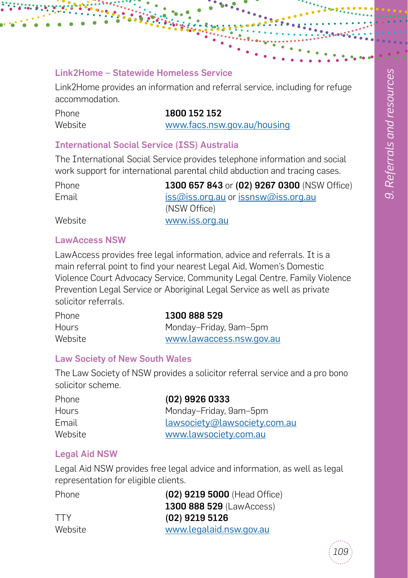#### Link2Home – Statewide Homeless Service

Link2Home provides an information and referral service, including for refuge accommodation.

Phone 1800 152 152 Website www.facs.nsw.gov.au/housing

#### International Social Service (ISS) Australia

The International Social Service provides telephone information and social work support for international parental child abduction and tracing cases.

| <b>Phone</b> | 1300 657 843 or (02) 9267 0300 (NSW Office) |
|--------------|---------------------------------------------|
| Email        | iss@iss.org.au or issnsw@iss.org.au         |
|              | (NSW Office)                                |
| Website      | www.iss.org.au                              |

#### LawAccess NSW

LawAccess provides free legal information, advice and referrals. It is a main referral point to find your nearest Legal Aid, Women's Domestic Violence Court Advocacy Service, Community Legal Centre, Family Violence Prevention Legal Service or Aboriginal Legal Service as well as private solicitor referrals.

| Phone        | 1300 888 529             |
|--------------|--------------------------|
| <b>Hours</b> | Monday-Friday, 9am-5pm   |
| Website      | www.lawaccess.nsw.gov.au |

#### Law Society of New South Wales

The Law Society of NSW provides a solicitor referral service and a pro bono solicitor scheme.

| <b>Phone</b> | $(02)$ 9926 0333             |
|--------------|------------------------------|
| <b>Hours</b> | Monday-Friday, 9am-5pm       |
| Email        | lawsociety@lawsociety.com.au |
| Website      | www.lawsociety.com.au        |

#### Legal Aid NSW

Legal Aid NSW provides free legal advice and information, as well as legal representation for eligible clients.

| <b>Phone</b> | (02) 9219 5000 (Head Office)    |
|--------------|---------------------------------|
|              | <b>1300 888 529 (LawAccess)</b> |
| <b>TTY</b>   | $(02)$ 9219 5126                |
| Website      | www.legalaid.nsw.gov.au         |

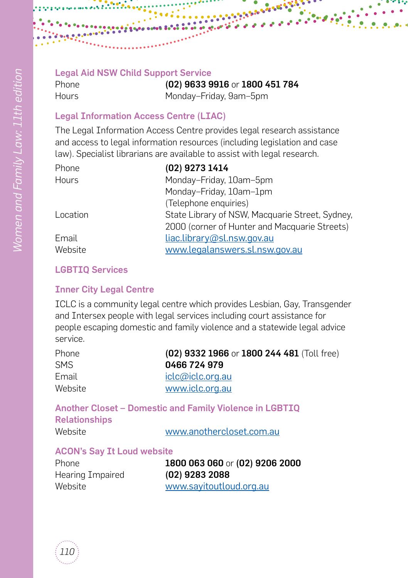#### Legal Aid NSW Child Support Service

Phone (02) 9633 9916 or 1800 451 784 Hours Monday–Friday, 9am–5pm

# Legal Information Access Centre (LIAC)

The Legal Information Access Centre provides legal research assistance and access to legal information resources (including legislation and case law). Specialist librarians are available to assist with legal research.

| Phone    | (02) 9273 1414                                  |
|----------|-------------------------------------------------|
| Hours    | Monday-Friday, 10am-5pm                         |
|          | Monday-Friday, 10am-1pm                         |
|          | (Telephone enquiries)                           |
| Location | State Library of NSW, Macquarie Street, Sydney, |
|          | 2000 (corner of Hunter and Macquarie Streets)   |
| Email    | liac.library@sl.nsw.gov.au                      |
| Website  | www.legalanswers.sl.nsw.gov.au                  |
|          |                                                 |

# LGBTIQ Services

#### Inner City Legal Centre

ICLC is a community legal centre which provides Lesbian, Gay, Transgender and Intersex people with legal services including court assistance for people escaping domestic and family violence and a statewide legal advice service.

| (02) 9332 1966 or 1800 244 481 (Toll free) |
|--------------------------------------------|
| 0466 724 979                               |
| iclc@iclc.org.au                           |
| www.iclc.org.au                            |
|                                            |

Another Closet – Domestic and Family Violence in LGBTIQ Relationships Website www.anothercloset.com.au

#### ACON's Say It Loud website

Hearing Impaired (02) 9283 2088

Phone 1800 063 060 or (02) 9206 2000 Website www.sayitoutloud.org.au

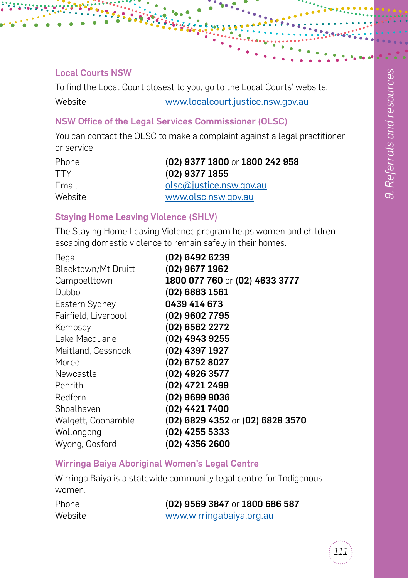#### Local Courts NSW

To find the Local Court closest to you, go to the Local Courts' website.

Website www.localcourt.justice.nsw.gov.au

# NSW Office of the Legal Services Commissioner (OLSC)

You can contact the OLSC to make a complaint against a legal practitioner or service.

| <b>Phone</b> | (02) 9377 1800 or 1800 242 958 |
|--------------|--------------------------------|
| <b>TTY</b>   | $(02)$ 9377 1855               |
| Email        | <u>olsc@justice.nsw.gov.au</u> |
| Website      | www.olsc.nsw.gov.au            |

# Staying Home Leaving Violence (SHLV)

The Staying Home Leaving Violence program helps women and children escaping domestic violence to remain safely in their homes.

| Bega                 | (02) 6492 6239                   |
|----------------------|----------------------------------|
| Blacktown/Mt Druitt  | (02) 9677 1962                   |
| Campbelltown         | 1800 077 760 or (02) 4633 3777   |
| Dubbo                | $(02)$ 6883 1561                 |
| Eastern Sydney       | 0439 414 673                     |
| Fairfield, Liverpool | (02) 9602 7795                   |
| Kempsey              | (02) 6562 2272                   |
| Lake Macquarie       | (02) 4943 9255                   |
| Maitland, Cessnock   | (02) 4397 1927                   |
| Moree                | (02) 6752 8027                   |
| Newcastle            | (02) 4926 3577                   |
| Penrith              | (02) 4721 2499                   |
| Redfern              | (02) 9699 9036                   |
| Shoalhaven           | (02) 4421 7400                   |
| Walgett, Coonamble   | (02) 6829 4352 or (02) 6828 3570 |
| Wollongong           | (02) 4255 5333                   |
| Wyong, Gosford       | $(02)$ 4356 2600                 |

### Wirringa Baiya Aboriginal Women's Legal Centre

Wirringa Baiya is a statewide community legal centre for Indigenous women.

| Phone   | (02) 9569 3847 or 1800 686 587 |
|---------|--------------------------------|
| Website | www.wirringabaiya.org.au       |

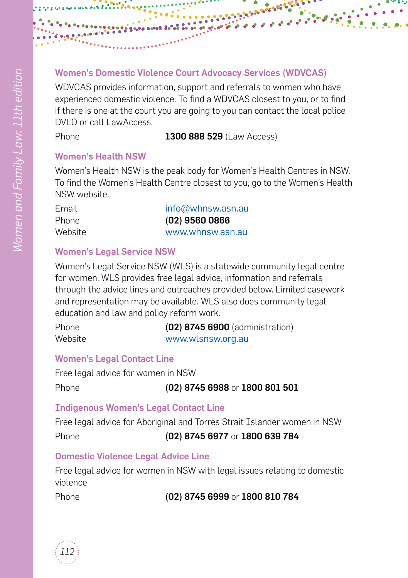# Women's Domestic Violence Court Advocacy Services (WDVCAS)

WDVCAS provides information, support and referrals to women who have experienced domestic violence. To find a WDVCAS closest to you, or to find if there is one at the court you are going to you can contact the local police DVLO or call LawAccess.

Phone **1300 888 529** (Law Access)

#### Women's Health NSW

Women's Health NSW is the peak body for Women's Health Centres in NSW. To find the Women's Health Centre closest to you, go to the Women's Health NSW website.

| Email        | $info@whnsw.$ asn.au |
|--------------|----------------------|
| <b>Phone</b> | $(02)$ 9560 0866     |
| Website      | www.whnsw.asn.au     |

#### Women's Legal Service NSW

Women's Legal Service NSW (WLS) is a statewide community legal centre for women. WLS provides free legal advice, information and referrals through the advice lines and outreaches provided below. Limited casework and representation may be available. WLS also does community legal education and law and policy reform work.

| <b>Phone</b> | (02) 8745 6900 (administration) |
|--------------|---------------------------------|
| Website      | www.wlsnsw.org.au               |

# Women's Legal Contact Line

Free legal advice for women in NSW

```
Phone (02) 8745 6988 or 1800 801 501
```
# Indigenous Women's Legal Contact Line

Free legal advice for Aboriginal and Torres Strait Islander women in NSW

Phone (02) 8745 6977 or 1800 639 784

# Domestic Violence Legal Advice Line

Free legal advice for women in NSW with legal issues relating to domestic violence

Phone (02) 8745 6999 or 1800 810 784

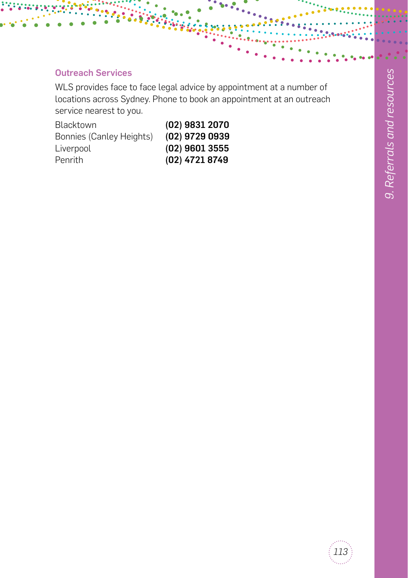# Outreach Services

WLS provides face to face legal advice by appointment at a number of locations across Sydney. Phone to book an appointment at an outreach service nearest to you.

| $(02)$ 9831 2070 |
|------------------|
| (02) 9729 0939   |
| $(02)$ 9601 3555 |
| (02) 4721 8749   |
|                  |

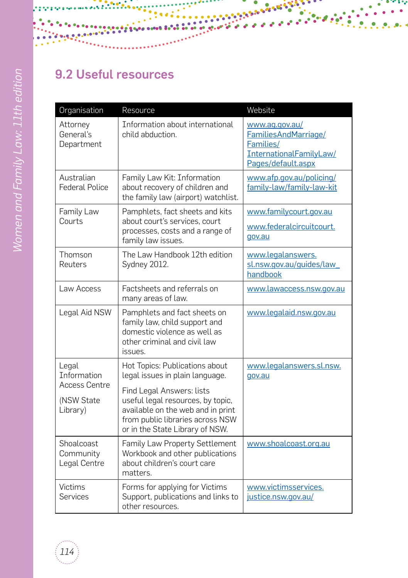

# 9.2 Useful resources

| Organisation                                   | Resource                                                                                                                                                                   | Website                                                                                              |
|------------------------------------------------|----------------------------------------------------------------------------------------------------------------------------------------------------------------------------|------------------------------------------------------------------------------------------------------|
| Attorney<br>General's<br>Department            | Information about international<br>child abduction.                                                                                                                        | www.ag.gov.au/<br>FamiliesAndMarriage/<br>Families/<br>InternationalFamilyLaw/<br>Pages/default.aspx |
| Australian<br><b>Federal Police</b>            | Family Law Kit: Information<br>about recovery of children and<br>the family law (airport) watchlist.                                                                       | www.afp.gov.au/policing/<br>family-law/family-law-kit                                                |
| Family Law<br>Courts                           | Pamphlets, fact sheets and kits<br>about court's services, court<br>processes, costs and a range of<br>family law issues.                                                  | www.familycourt.gov.au<br>www.federalcircuitcourt.<br>gov.au                                         |
| Thomson<br>Reuters                             | The Law Handbook 12th edition<br>Sydney 2012.                                                                                                                              | www.legalanswers.<br>sl.nsw.gov.au/guides/law<br>handbook                                            |
| Law Access                                     | Factsheets and referrals on<br>many areas of law.                                                                                                                          | www.lawaccess.nsw.gov.au                                                                             |
| Legal Aid NSW                                  | Pamphlets and fact sheets on<br>family law, child support and<br>domestic violence as well as<br>other criminal and civil law<br>issues.                                   | www.legalaid.nsw.gov.au                                                                              |
| Legal<br><b>Tnformation</b>                    | Hot Topics: Publications about<br>legal issues in plain language.                                                                                                          | www.legalanswers.sl.nsw.<br>gov.au                                                                   |
| <b>Access Centre</b><br>(NSW State<br>Library) | Find Legal Answers: lists<br>useful legal resources, by topic,<br>available on the web and in print<br>from public libraries across NSW<br>or in the State Library of NSW. |                                                                                                      |
| Shoalcoast<br>Community<br>Legal Centre        | Family Law Property Settlement<br>Workbook and other publications<br>about children's court care<br>matters.                                                               | www.shoalcoast.org.au                                                                                |
| <b>Victims</b><br>Services                     | Forms for applying for Victims<br>Support, publications and links to<br>other resources.                                                                                   | www.victimsservices.<br>justice.nsw.gov.au/                                                          |

**BARBARASHARA** 

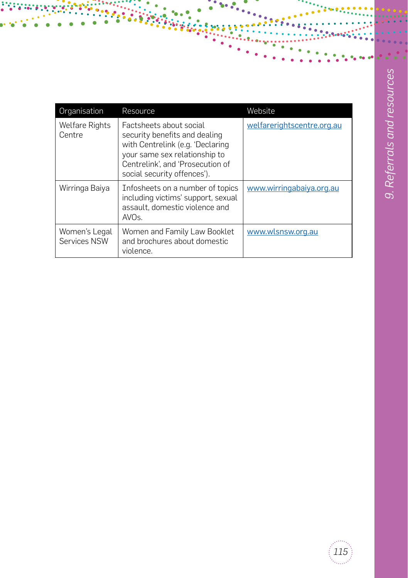| Organisation                    | Resource                                                                                                                                                                                         | Website                    |
|---------------------------------|--------------------------------------------------------------------------------------------------------------------------------------------------------------------------------------------------|----------------------------|
| <b>Welfare Rights</b><br>Centre | Factsheets about social<br>security benefits and dealing<br>with Centrelink (e.g. 'Declaring<br>your same sex relationship to<br>Centrelink', and 'Prosecution of<br>social security offences'). | welfarerightscentre.org.au |
| Wirringa Baiya                  | Infosheets on a number of topics<br>including victims' support, sexual<br>assault, domestic violence and<br>AVO <sub>S</sub> .                                                                   | www.wirringabaiya.org.au   |
| Women's Legal<br>Services NSW   | Women and Family Law Booklet<br>and brochures about domestic<br>violence.                                                                                                                        | www.wlsnsw.org.au          |

i